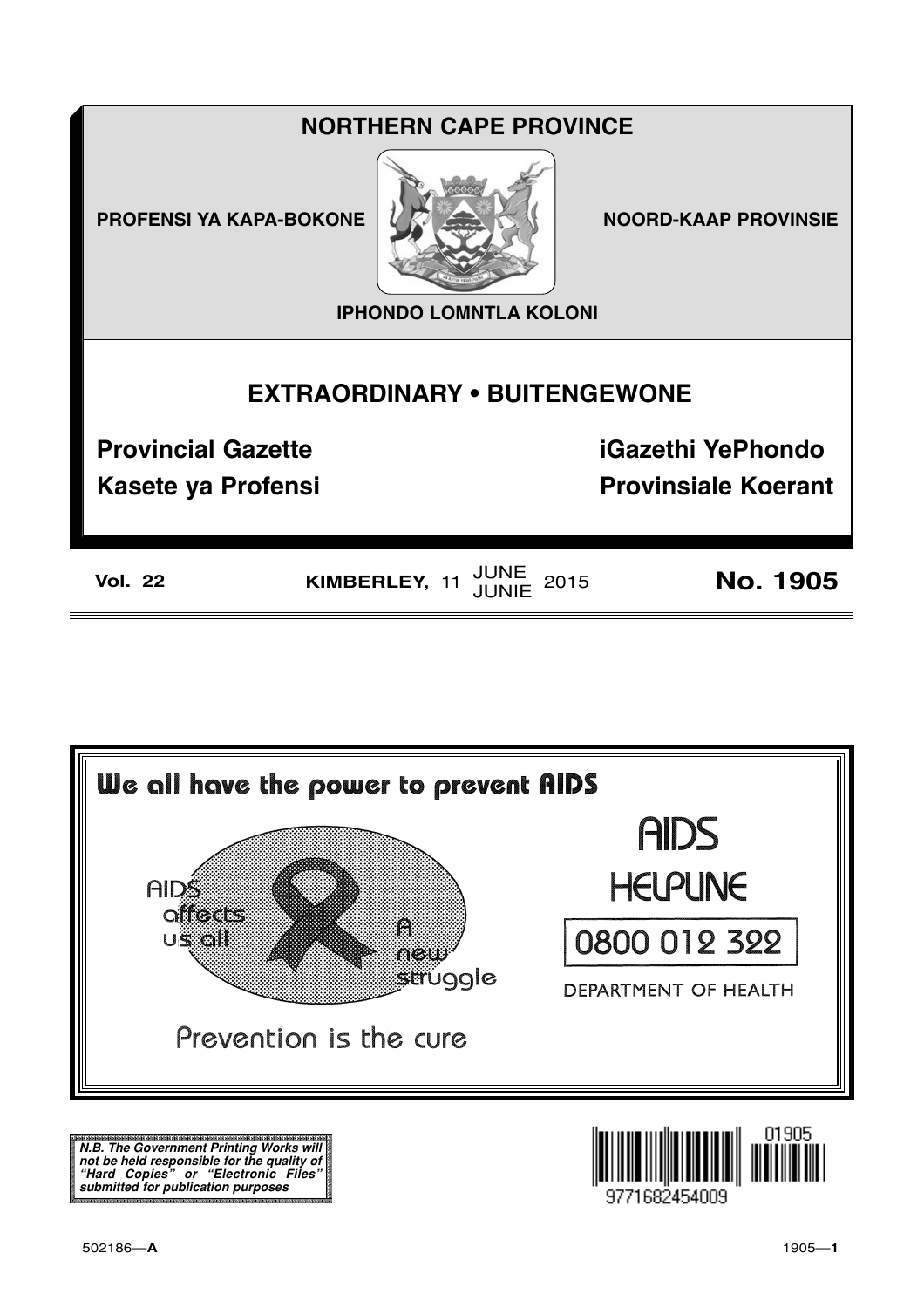## **NORTHERN CAPE PROVINCE**

**PROFENSI YA KAPA-BOKONE** 



**NOORD-KAAP PROVINSIE** 

**IPHONDO LOMNTLA KOLONI** 

## **EXTRAORDINARY . BUITENGEWONE**

**Provincial Gazette** 

**Kasete ya Profensi** 

**iGazethi YePhondo Provinsiale Koerant** 

**Vol. 22** 

KIMBERLEY, 11 JUNE 2015

**No. 1905** 



N.B. The Government Printing Works will n.... The covernment Primary works will<br>not be held responsible for the quality of<br>"Hard Copies" or "Electronic Files"<br>submitted for publication purposes

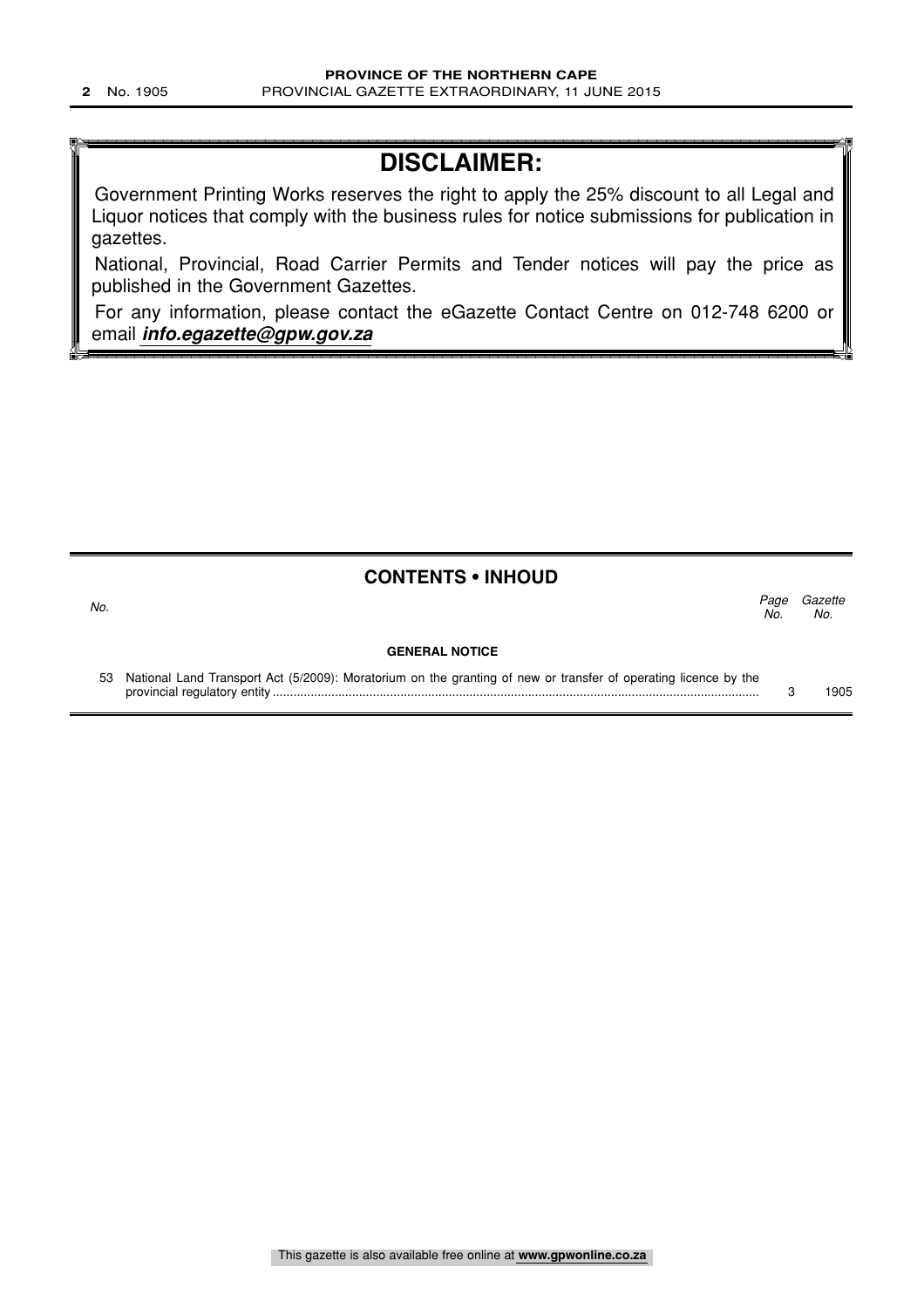# **DISCLAIMER:**

Government Printing Works reserves the right to apply the 25% discount to all Legal and Liquor notices that comply with the business rules for notice submissions for publication in gazettes.

National, Provincial, Road Carrier Permits and Tender notices will pay the price as published in the Government Gazettes.

For any information, please contact the eGazette Contact Centre on 012-748 6200 or email **info.egazette@gpw.gov.za**

## **CONTENTS • INHOUD**

Gazette No. Page No.  $\sim$  No.

### **GENERAL NOTICE**

53 National Land Transport Act (5/2009): Moratorium on the granting of new or transfer of operating licence by the provincial regulatory entity ............................................................................................................................................. 3 1905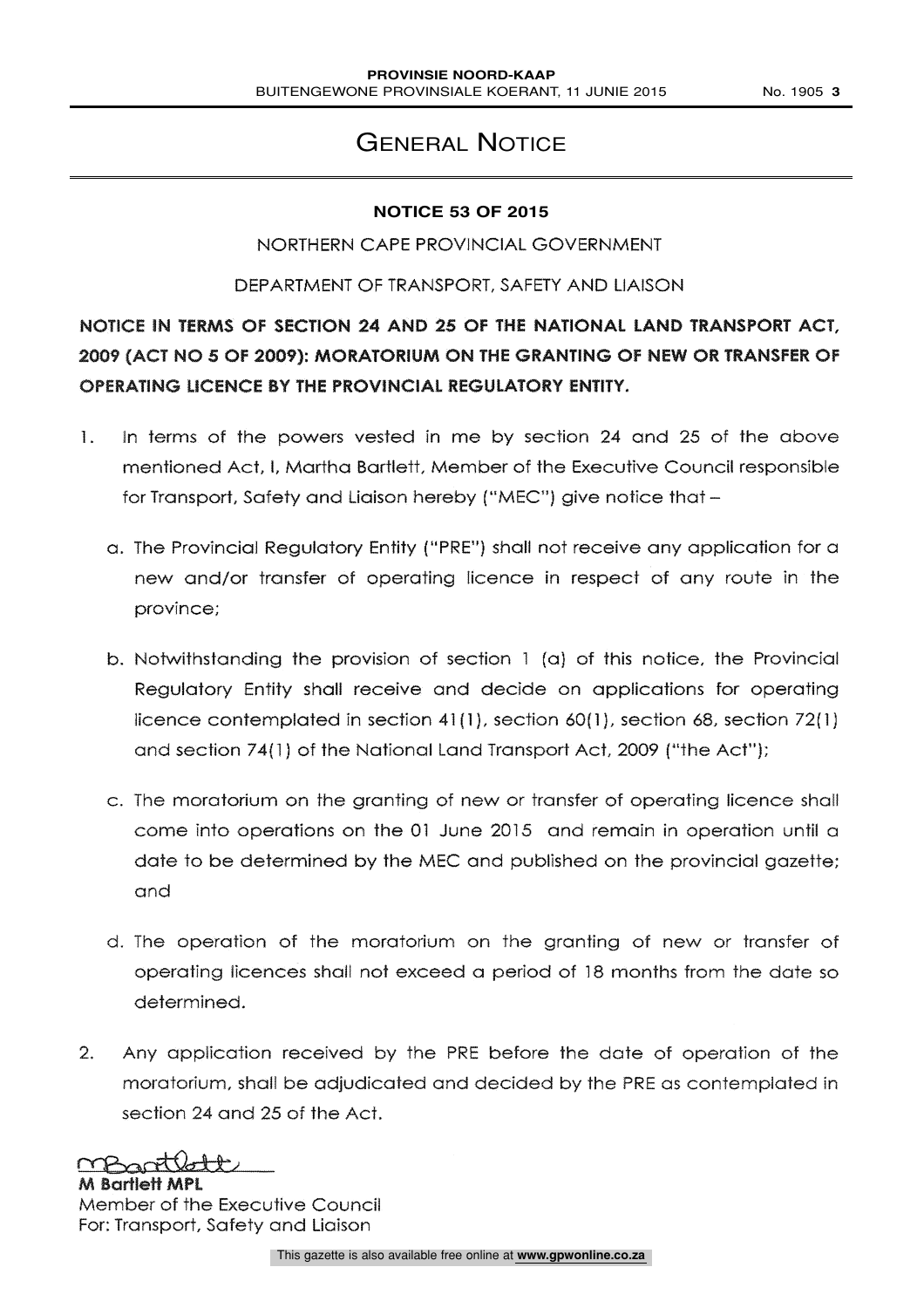# GENERAL NOTICE

## **NOTICE 53 OF 2015**

NORTHERN CAPE PROVINCIAL GOVERNMENT

DEPARTMENT OF TRANSPORT, SAFETY AND LIAISON

## NOTICE IN TERMS OF SECTION 24 AND 25 OF THE NATIONAL LAND TRANSPORT ACT, 2009 (ACT NO 5 OF 2009): MORATORIUM ON THE GRANTING OF NEW OR TRANSFER OF OPERATING LICENCE BY THE PROVINCIAL REGULATORY ENTITY.

- $\mathbf{1}$ . In terms of the powers vested in me by section 24 and 25 of the above menfioned Act, I, Martha Bartlett, Member of the Executive Council responsible for Transport, Safety and Liaison hereby ("MEC") give notice that
	- a. The Provincial Regulatory Entity ("PRE") shall not receive any application for a new and/or transfer of operating licence in respect of any route in the province;
	- b. Notwithstanding the provision of section  $1$  (a) of this notice, the Provincial Regulatory Entity shall receive and decide on applications for operating licence contemplated in section  $41(1)$ , section  $60(1)$ , section  $68$ , section  $72(1)$ and section 74(1) of the National Land Transport Act, 2009 ("the Act");
	- c. The moratorium on the granting of new or transfer of operating licence shall corne into operations on the 01 June 2015 and remain in operation until a date to be determined by the MEC and published on the provincial gazette; and
	- d. The operation of the moratorium on tie granting of new or transfer of operating licences shall not exceed a period of 18 months from tie date so determined.
- Any application received by the PRE before the date of operation of the  $2.$ moratorium, shall be adjudicated and decided by the PRE as contemplated in section 24 and 25 of the Act.

manitlatty **M Bartlett MPL** 

Member of the Executive Council For: Transport, Safety and Liaison